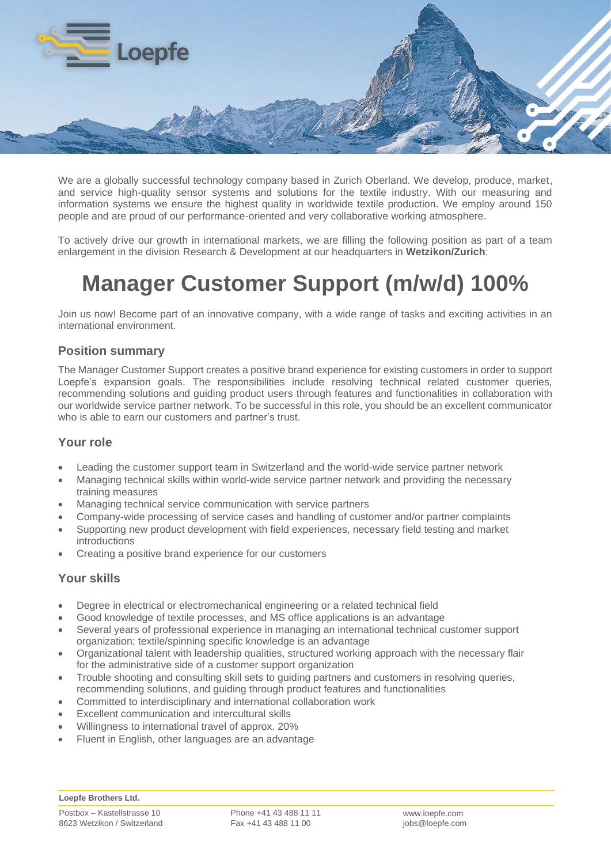

We are a globally successful technology company based in Zurich Oberland. We develop, produce, market, and service high-quality sensor systems and solutions for the textile industry. With our measuring and information systems we ensure the highest quality in worldwide textile production. We employ around 150 people and are proud of our performance-oriented and very collaborative working atmosphere.

To actively drive our growth in international markets, we are filling the following position as part of a team enlargement in the division Research & Development at our headquarters in **Wetzikon/Zurich**:

# **Manager Customer Support (m/w/d) 100%**

Join us now! Become part of an innovative company, with a wide range of tasks and exciting activities in an international environment.

# **Position summary**

The Manager Customer Support creates a positive brand experience for existing customers in order to support Loepfe's expansion goals. The responsibilities include resolving technical related customer queries, recommending solutions and guiding product users through features and functionalities in collaboration with our worldwide service partner network. To be successful in this role, you should be an excellent communicator who is able to earn our customers and partner's trust.

#### **Your role**

- Leading the customer support team in Switzerland and the world-wide service partner network
- Managing technical skills within world-wide service partner network and providing the necessary training measures
- Managing technical service communication with service partners
- Company-wide processing of service cases and handling of customer and/or partner complaints
- Supporting new product development with field experiences, necessary field testing and market introductions
- Creating a positive brand experience for our customers

#### **Your skills**

- Degree in electrical or electromechanical engineering or a related technical field
- Good knowledge of textile processes, and MS office applications is an advantage
- Several years of professional experience in managing an international technical customer support organization; textile/spinning specific knowledge is an advantage
- Organizational talent with leadership qualities, structured working approach with the necessary flair for the administrative side of a customer support organization
- Trouble shooting and consulting skill sets to guiding partners and customers in resolving queries, recommending solutions, and guiding through product features and functionalities
- Committed to interdisciplinary and international collaboration work
- Excellent communication and intercultural skills
- Willingness to international travel of approx. 20%
- Fluent in English, other languages are an advantage